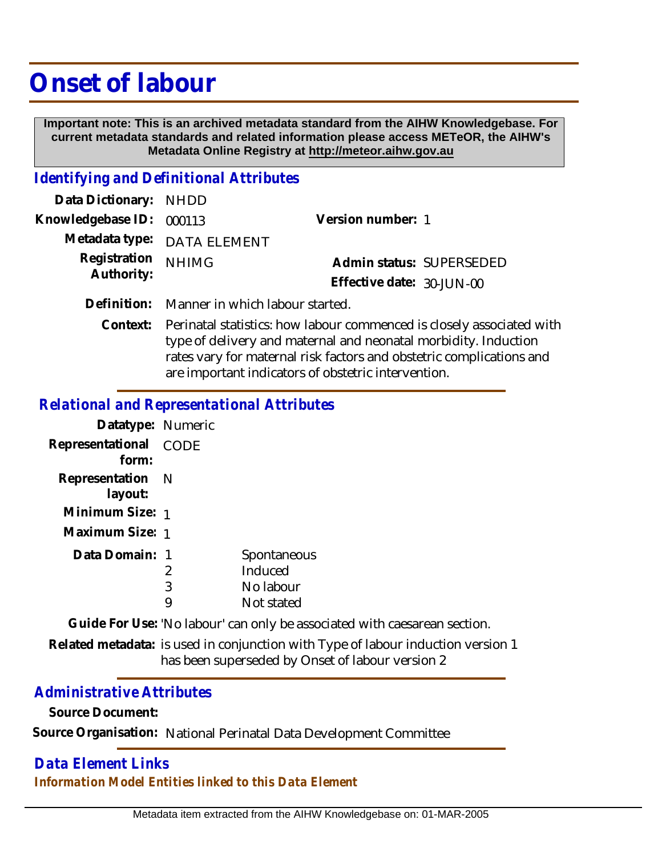# **Onset of labour**

 **Important note: This is an archived metadata standard from the AIHW Knowledgebase. For current metadata standards and related information please access METeOR, the AIHW's Metadata Online Registry at http://meteor.aihw.gov.au**

# *Identifying and Definitional Attributes*

| Data Dictionary: NHDD      |                                             |                           |  |
|----------------------------|---------------------------------------------|---------------------------|--|
| Knowledgebase ID: 000113   |                                             | Version number: 1         |  |
|                            | Metadata type: DATA ELEMENT                 |                           |  |
| Registration<br>Authority: | <b>NHIMG</b>                                | Admin status: SUPERSEDED  |  |
|                            |                                             | Effective date: 30-JUN-00 |  |
|                            | Definition: Manner in which labour started. |                           |  |

Context: Perinatal statistics: how labour commenced is closely associated with type of delivery and maternal and neonatal morbidity. Induction rates vary for maternal risk factors and obstetric complications and are important indicators of obstetric intervention.

#### *Relational and Representational Attributes*

| Datatype: Numeric           |             |             |
|-----------------------------|-------------|-------------|
| Representational<br>form:   | <b>CODE</b> |             |
| Representation N<br>layout: |             |             |
| Minimum Size: 1             |             |             |
| Maximum Size: 1             |             |             |
| Data Domain: 1              |             | Spontaneous |
|                             | 2           | Induced     |
|                             | 3           | No labour   |
|                             |             | Not stated  |

**Guide For Use:** 'No labour' can only be associated with caesarean section.

Related metadata: is used in conjunction with Type of labour induction version 1 has been superseded by Onset of labour version 2

### *Administrative Attributes*

**Source Document:**

**Source Organisation:** National Perinatal Data Development Committee

## *Data Element Links Information Model Entities linked to this Data Element*